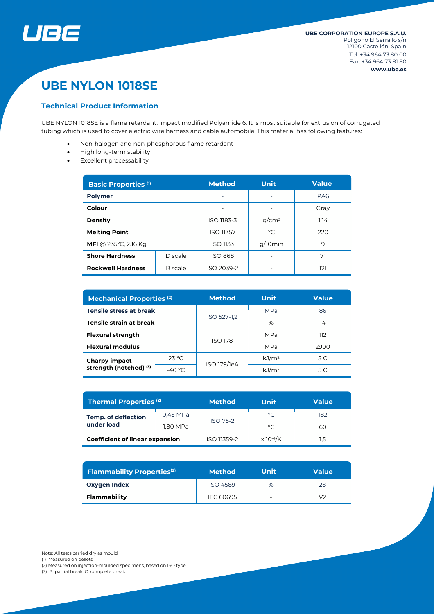

# **UBE NYLON 1018SE**

### **Technical Product Information**

UBE NYLON 1018SE is a flame retardant, impact modified Polyamide 6. It is most suitable for extrusion of corrugated tubing which is used to cover electric wire harness and cable automobile. This material has following features:

- Non-halogen and non-phosphorous flame retardant
- High long-term stability
- Excellent processability

| <b>Basic Properties (1)</b>            |         | <b>Method</b>            | <b>Unit</b>              | <b>Value</b>    |  |
|----------------------------------------|---------|--------------------------|--------------------------|-----------------|--|
| <b>Polymer</b>                         |         | $\overline{\phantom{0}}$ | $\overline{\phantom{0}}$ | PA <sub>6</sub> |  |
| Colour                                 |         | $\overline{\phantom{0}}$ | $\overline{\phantom{0}}$ | Gray            |  |
| <b>Density</b>                         |         | ISO 1183-3               | $g/cm^3$                 | 1.14            |  |
| <b>Melting Point</b>                   |         | <b>ISO 11357</b>         | $^{\circ}$ C             | 220             |  |
| <b>MFI</b> @ 235 $^{\circ}$ C, 2.16 Kg |         | ISO 1133                 | g/10min                  | 9               |  |
| <b>Shore Hardness</b>                  | D scale | <b>ISO 868</b>           | ۰                        |                 |  |
| <b>Rockwell Hardness</b><br>R scale    |         | ISO 2039-2               | ۰                        | 121             |  |

| <b>Mechanical Properties (2)</b>               |                 | <b>Method</b>  | <b>Unit</b>       | <b>Value</b> |  |
|------------------------------------------------|-----------------|----------------|-------------------|--------------|--|
| <b>Tensile stress at break</b>                 |                 | ISO 527-1,2    | <b>MPa</b>        | 86           |  |
| Tensile strain at break                        |                 |                | %                 | 14           |  |
| <b>Flexural strength</b>                       |                 | <b>ISO 178</b> | <b>MPa</b>        | 112          |  |
| <b>Flexural modulus</b>                        |                 |                | <b>MPa</b>        | 2900         |  |
| <b>Charpy impact</b><br>strength (notched) (3) | $23^{\circ}$ C  | ISO 179/1eA    | kJ/m <sup>2</sup> | 5 C          |  |
|                                                | $-40^{\circ}$ C |                | kJ/m <sup>2</sup> | 5 C          |  |

| Thermal Properties <sup>(2)</sup>        |          | <b>Method</b>   | Unit                         | <b>Value</b> |  |
|------------------------------------------|----------|-----------------|------------------------------|--------------|--|
| <b>Temp. of deflection</b><br>under load | 0,45 MPa | <b>ISO 75-2</b> | $^{\circ}$ C                 | 182          |  |
|                                          | 1,80 MPa |                 | °C                           | 60           |  |
| <b>Coefficient of linear expansion</b>   |          | ISO 11359-2     | $\times$ 10 <sup>-4</sup> /K | 1,5          |  |

| <b>Flammability Properties</b> <sup>(2)</sup> | <b>Method</b>   | Unit                     | <b>Value</b> |
|-----------------------------------------------|-----------------|--------------------------|--------------|
| <b>Oxygen Index</b>                           | <b>ISO 4589</b> | %                        | 28           |
| Flammability                                  | IEC 60695       | $\overline{\phantom{0}}$ | いつ           |

Note: All tests carried dry as mould

(1) Measured on pellets

(2) Measured on injection-moulded specimens, based on ISO type

(3) P=partial break, C=complete break